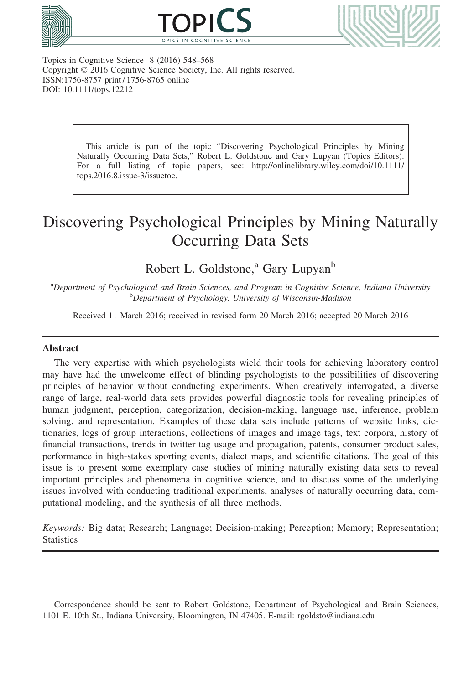





Topics in Cognitive Science 8 (2016) 548–568 Copyright © 2016 Cognitive Science Society, Inc. All rights reserved. ISSN:1756-8757 print / 1756-8765 online DOI: 10.1111/tops.12212

> This article is part of the topic "Discovering Psychological Principles by Mining Naturally Occurring Data Sets," Robert L. Goldstone and Gary Lupyan (Topics Editors). For a full listing of topic papers, see: [http://onlinelibrary.wiley.com/doi/10.1111/](http://onlinelibrary.wiley.com/doi/10.1111/tops.2016.8.issue-3/issuetoc) [tops.2016.8.issue-3/issuetoc.](http://onlinelibrary.wiley.com/doi/10.1111/tops.2016.8.issue-3/issuetoc)

# Discovering Psychological Principles by Mining Naturally Occurring Data Sets

Robert L. Goldstone,<sup>a</sup> Gary Lupyan<sup>b</sup>

<sup>a</sup>Department of Psychological and Brain Sciences, and Program in Cognitive Science, Indiana University<br><sup>b</sup>Department of Psychology, University of Wisconsin Madison <sup>b</sup>Department of Psychology, University of Wisconsin-Madison

Received 11 March 2016; received in revised form 20 March 2016; accepted 20 March 2016

## Abstract

The very expertise with which psychologists wield their tools for achieving laboratory control may have had the unwelcome effect of blinding psychologists to the possibilities of discovering principles of behavior without conducting experiments. When creatively interrogated, a diverse range of large, real-world data sets provides powerful diagnostic tools for revealing principles of human judgment, perception, categorization, decision-making, language use, inference, problem solving, and representation. Examples of these data sets include patterns of website links, dictionaries, logs of group interactions, collections of images and image tags, text corpora, history of financial transactions, trends in twitter tag usage and propagation, patents, consumer product sales, performance in high-stakes sporting events, dialect maps, and scientific citations. The goal of this issue is to present some exemplary case studies of mining naturally existing data sets to reveal important principles and phenomena in cognitive science, and to discuss some of the underlying issues involved with conducting traditional experiments, analyses of naturally occurring data, computational modeling, and the synthesis of all three methods.

Keywords: Big data; Research; Language; Decision-making; Perception; Memory; Representation; **Statistics** 

Correspondence should be sent to Robert Goldstone, Department of Psychological and Brain Sciences, 1101 E. 10th St., Indiana University, Bloomington, IN 47405. E-mail: rgoldsto@indiana.edu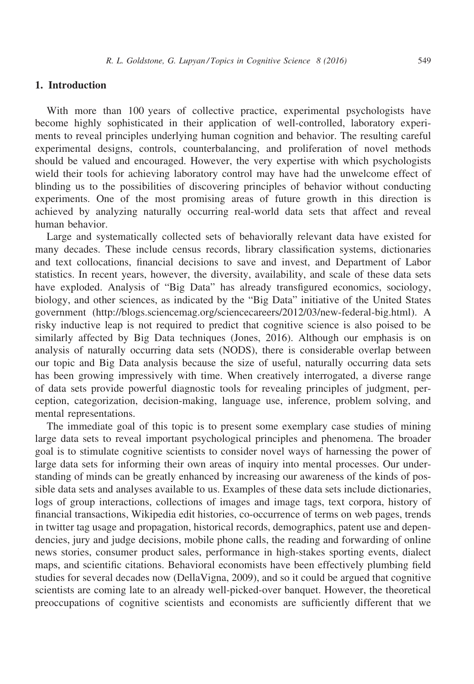## 1. Introduction

With more than 100 years of collective practice, experimental psychologists have become highly sophisticated in their application of well-controlled, laboratory experiments to reveal principles underlying human cognition and behavior. The resulting careful experimental designs, controls, counterbalancing, and proliferation of novel methods should be valued and encouraged. However, the very expertise with which psychologists wield their tools for achieving laboratory control may have had the unwelcome effect of blinding us to the possibilities of discovering principles of behavior without conducting experiments. One of the most promising areas of future growth in this direction is achieved by analyzing naturally occurring real-world data sets that affect and reveal human behavior.

Large and systematically collected sets of behaviorally relevant data have existed for many decades. These include census records, library classification systems, dictionaries and text collocations, financial decisions to save and invest, and Department of Labor statistics. In recent years, however, the diversity, availability, and scale of these data sets have exploded. Analysis of "Big Data" has already transfigured economics, sociology, biology, and other sciences, as indicated by the "Big Data" initiative of the United States government [\(http://blogs.sciencemag.org/sciencecareers/2012/03/new-federal-big.html\)](http://blogs.sciencemag.org/sciencecareers/2012/03/new-federal-big.html). A risky inductive leap is not required to predict that cognitive science is also poised to be similarly affected by Big Data techniques (Jones, 2016). Although our emphasis is on analysis of naturally occurring data sets (NODS), there is considerable overlap between our topic and Big Data analysis because the size of useful, naturally occurring data sets has been growing impressively with time. When creatively interrogated, a diverse range of data sets provide powerful diagnostic tools for revealing principles of judgment, perception, categorization, decision-making, language use, inference, problem solving, and mental representations.

The immediate goal of this topic is to present some exemplary case studies of mining large data sets to reveal important psychological principles and phenomena. The broader goal is to stimulate cognitive scientists to consider novel ways of harnessing the power of large data sets for informing their own areas of inquiry into mental processes. Our understanding of minds can be greatly enhanced by increasing our awareness of the kinds of possible data sets and analyses available to us. Examples of these data sets include dictionaries, logs of group interactions, collections of images and image tags, text corpora, history of financial transactions, Wikipedia edit histories, co-occurrence of terms on web pages, trends in twitter tag usage and propagation, historical records, demographics, patent use and dependencies, jury and judge decisions, mobile phone calls, the reading and forwarding of online news stories, consumer product sales, performance in high-stakes sporting events, dialect maps, and scientific citations. Behavioral economists have been effectively plumbing field studies for several decades now (DellaVigna, 2009), and so it could be argued that cognitive scientists are coming late to an already well-picked-over banquet. However, the theoretical preoccupations of cognitive scientists and economists are sufficiently different that we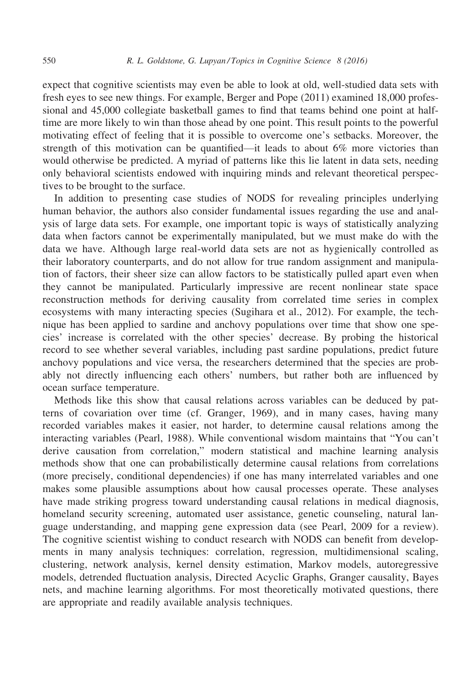expect that cognitive scientists may even be able to look at old, well-studied data sets with fresh eyes to see new things. For example, Berger and Pope (2011) examined 18,000 professional and 45,000 collegiate basketball games to find that teams behind one point at halftime are more likely to win than those ahead by one point. This result points to the powerful motivating effect of feeling that it is possible to overcome one's setbacks. Moreover, the strength of this motivation can be quantified—it leads to about 6% more victories than would otherwise be predicted. A myriad of patterns like this lie latent in data sets, needing only behavioral scientists endowed with inquiring minds and relevant theoretical perspectives to be brought to the surface.

In addition to presenting case studies of NODS for revealing principles underlying human behavior, the authors also consider fundamental issues regarding the use and analysis of large data sets. For example, one important topic is ways of statistically analyzing data when factors cannot be experimentally manipulated, but we must make do with the data we have. Although large real-world data sets are not as hygienically controlled as their laboratory counterparts, and do not allow for true random assignment and manipulation of factors, their sheer size can allow factors to be statistically pulled apart even when they cannot be manipulated. Particularly impressive are recent nonlinear state space reconstruction methods for deriving causality from correlated time series in complex ecosystems with many interacting species (Sugihara et al., 2012). For example, the technique has been applied to sardine and anchovy populations over time that show one species' increase is correlated with the other species' decrease. By probing the historical record to see whether several variables, including past sardine populations, predict future anchovy populations and vice versa, the researchers determined that the species are probably not directly influencing each others' numbers, but rather both are influenced by ocean surface temperature.

Methods like this show that causal relations across variables can be deduced by patterns of covariation over time (cf. Granger, 1969), and in many cases, having many recorded variables makes it easier, not harder, to determine causal relations among the interacting variables (Pearl, 1988). While conventional wisdom maintains that "You can't derive causation from correlation," modern statistical and machine learning analysis methods show that one can probabilistically determine causal relations from correlations (more precisely, conditional dependencies) if one has many interrelated variables and one makes some plausible assumptions about how causal processes operate. These analyses have made striking progress toward understanding causal relations in medical diagnosis, homeland security screening, automated user assistance, genetic counseling, natural language understanding, and mapping gene expression data (see Pearl, 2009 for a review). The cognitive scientist wishing to conduct research with NODS can benefit from developments in many analysis techniques: correlation, regression, multidimensional scaling, clustering, network analysis, kernel density estimation, Markov models, autoregressive models, detrended fluctuation analysis, Directed Acyclic Graphs, Granger causality, Bayes nets, and machine learning algorithms. For most theoretically motivated questions, there are appropriate and readily available analysis techniques.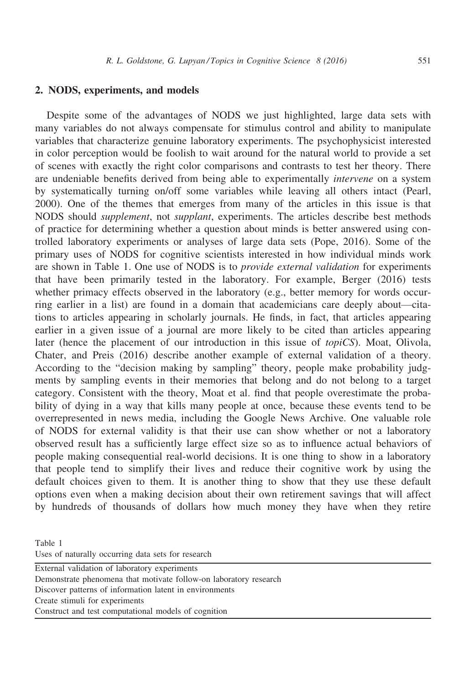## 2. NODS, experiments, and models

Despite some of the advantages of NODS we just highlighted, large data sets with many variables do not always compensate for stimulus control and ability to manipulate variables that characterize genuine laboratory experiments. The psychophysicist interested in color perception would be foolish to wait around for the natural world to provide a set of scenes with exactly the right color comparisons and contrasts to test her theory. There are undeniable benefits derived from being able to experimentally intervene on a system by systematically turning on/off some variables while leaving all others intact (Pearl, 2000). One of the themes that emerges from many of the articles in this issue is that NODS should supplement, not supplant, experiments. The articles describe best methods of practice for determining whether a question about minds is better answered using controlled laboratory experiments or analyses of large data sets (Pope, 2016). Some of the primary uses of NODS for cognitive scientists interested in how individual minds work are shown in Table 1. One use of NODS is to provide external validation for experiments that have been primarily tested in the laboratory. For example, Berger (2016) tests whether primacy effects observed in the laboratory (e.g., better memory for words occurring earlier in a list) are found in a domain that academicians care deeply about—citations to articles appearing in scholarly journals. He finds, in fact, that articles appearing earlier in a given issue of a journal are more likely to be cited than articles appearing later (hence the placement of our introduction in this issue of topiCS). Moat, Olivola, Chater, and Preis (2016) describe another example of external validation of a theory. According to the "decision making by sampling" theory, people make probability judgments by sampling events in their memories that belong and do not belong to a target category. Consistent with the theory, Moat et al. find that people overestimate the probability of dying in a way that kills many people at once, because these events tend to be overrepresented in news media, including the Google News Archive. One valuable role of NODS for external validity is that their use can show whether or not a laboratory observed result has a sufficiently large effect size so as to influence actual behaviors of people making consequential real-world decisions. It is one thing to show in a laboratory that people tend to simplify their lives and reduce their cognitive work by using the default choices given to them. It is another thing to show that they use these default options even when a making decision about their own retirement savings that will affect by hundreds of thousands of dollars how much money they have when they retire

External validation of laboratory experiments

Demonstrate phenomena that motivate follow-on laboratory research Discover patterns of information latent in environments

Create stimuli for experiments

Construct and test computational models of cognition

Table 1 Uses of naturally occurring data sets for research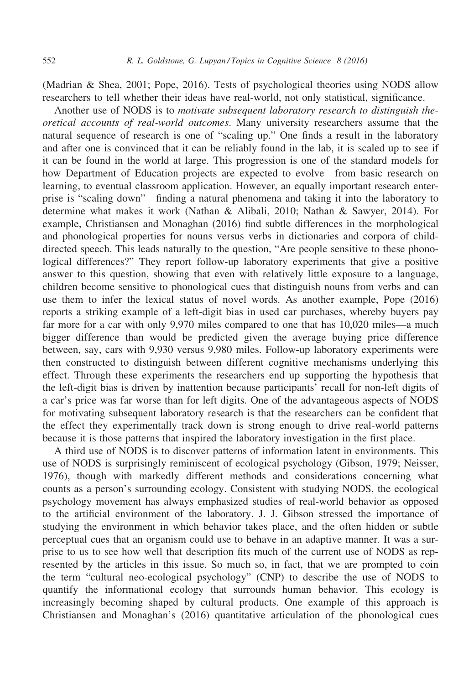(Madrian & Shea, 2001; Pope, 2016). Tests of psychological theories using NODS allow researchers to tell whether their ideas have real-world, not only statistical, significance.

Another use of NODS is to motivate subsequent laboratory research to distinguish theoretical accounts of real-world outcomes. Many university researchers assume that the natural sequence of research is one of "scaling up." One finds a result in the laboratory and after one is convinced that it can be reliably found in the lab, it is scaled up to see if it can be found in the world at large. This progression is one of the standard models for how Department of Education projects are expected to evolve—from basic research on learning, to eventual classroom application. However, an equally important research enterprise is "scaling down"—finding a natural phenomena and taking it into the laboratory to determine what makes it work (Nathan & Alibali, 2010; Nathan & Sawyer, 2014). For example, Christiansen and Monaghan (2016) find subtle differences in the morphological and phonological properties for nouns versus verbs in dictionaries and corpora of childdirected speech. This leads naturally to the question, "Are people sensitive to these phonological differences?" They report follow-up laboratory experiments that give a positive answer to this question, showing that even with relatively little exposure to a language, children become sensitive to phonological cues that distinguish nouns from verbs and can use them to infer the lexical status of novel words. As another example, Pope (2016) reports a striking example of a left-digit bias in used car purchases, whereby buyers pay far more for a car with only 9,970 miles compared to one that has 10,020 miles—a much bigger difference than would be predicted given the average buying price difference between, say, cars with 9,930 versus 9,980 miles. Follow-up laboratory experiments were then constructed to distinguish between different cognitive mechanisms underlying this effect. Through these experiments the researchers end up supporting the hypothesis that the left-digit bias is driven by inattention because participants' recall for non-left digits of a car's price was far worse than for left digits. One of the advantageous aspects of NODS for motivating subsequent laboratory research is that the researchers can be confident that the effect they experimentally track down is strong enough to drive real-world patterns because it is those patterns that inspired the laboratory investigation in the first place.

A third use of NODS is to discover patterns of information latent in environments. This use of NODS is surprisingly reminiscent of ecological psychology (Gibson, 1979; Neisser, 1976), though with markedly different methods and considerations concerning what counts as a person's surrounding ecology. Consistent with studying NODS, the ecological psychology movement has always emphasized studies of real-world behavior as opposed to the artificial environment of the laboratory. J. J. Gibson stressed the importance of studying the environment in which behavior takes place, and the often hidden or subtle perceptual cues that an organism could use to behave in an adaptive manner. It was a surprise to us to see how well that description fits much of the current use of NODS as represented by the articles in this issue. So much so, in fact, that we are prompted to coin the term "cultural neo-ecological psychology" (CNP) to describe the use of NODS to quantify the informational ecology that surrounds human behavior. This ecology is increasingly becoming shaped by cultural products. One example of this approach is Christiansen and Monaghan's (2016) quantitative articulation of the phonological cues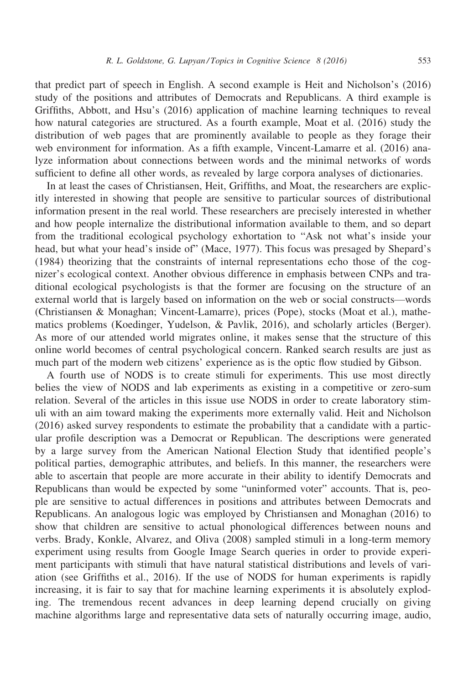that predict part of speech in English. A second example is Heit and Nicholson's (2016) study of the positions and attributes of Democrats and Republicans. A third example is Griffiths, Abbott, and Hsu's (2016) application of machine learning techniques to reveal how natural categories are structured. As a fourth example, Moat et al. (2016) study the distribution of web pages that are prominently available to people as they forage their web environment for information. As a fifth example, Vincent-Lamarre et al. (2016) analyze information about connections between words and the minimal networks of words sufficient to define all other words, as revealed by large corpora analyses of dictionaries.

In at least the cases of Christiansen, Heit, Griffiths, and Moat, the researchers are explicitly interested in showing that people are sensitive to particular sources of distributional information present in the real world. These researchers are precisely interested in whether and how people internalize the distributional information available to them, and so depart from the traditional ecological psychology exhortation to "Ask not what's inside your head, but what your head's inside of" (Mace, 1977). This focus was presaged by Shepard's (1984) theorizing that the constraints of internal representations echo those of the cognizer's ecological context. Another obvious difference in emphasis between CNPs and traditional ecological psychologists is that the former are focusing on the structure of an external world that is largely based on information on the web or social constructs—words (Christiansen & Monaghan; Vincent-Lamarre), prices (Pope), stocks (Moat et al.), mathematics problems (Koedinger, Yudelson, & Pavlik, 2016), and scholarly articles (Berger). As more of our attended world migrates online, it makes sense that the structure of this online world becomes of central psychological concern. Ranked search results are just as much part of the modern web citizens' experience as is the optic flow studied by Gibson.

A fourth use of NODS is to create stimuli for experiments. This use most directly belies the view of NODS and lab experiments as existing in a competitive or zero-sum relation. Several of the articles in this issue use NODS in order to create laboratory stimuli with an aim toward making the experiments more externally valid. Heit and Nicholson (2016) asked survey respondents to estimate the probability that a candidate with a particular profile description was a Democrat or Republican. The descriptions were generated by a large survey from the American National Election Study that identified people's political parties, demographic attributes, and beliefs. In this manner, the researchers were able to ascertain that people are more accurate in their ability to identify Democrats and Republicans than would be expected by some "uninformed voter" accounts. That is, people are sensitive to actual differences in positions and attributes between Democrats and Republicans. An analogous logic was employed by Christiansen and Monaghan (2016) to show that children are sensitive to actual phonological differences between nouns and verbs. Brady, Konkle, Alvarez, and Oliva (2008) sampled stimuli in a long-term memory experiment using results from Google Image Search queries in order to provide experiment participants with stimuli that have natural statistical distributions and levels of variation (see Griffiths et al., 2016). If the use of NODS for human experiments is rapidly increasing, it is fair to say that for machine learning experiments it is absolutely exploding. The tremendous recent advances in deep learning depend crucially on giving machine algorithms large and representative data sets of naturally occurring image, audio,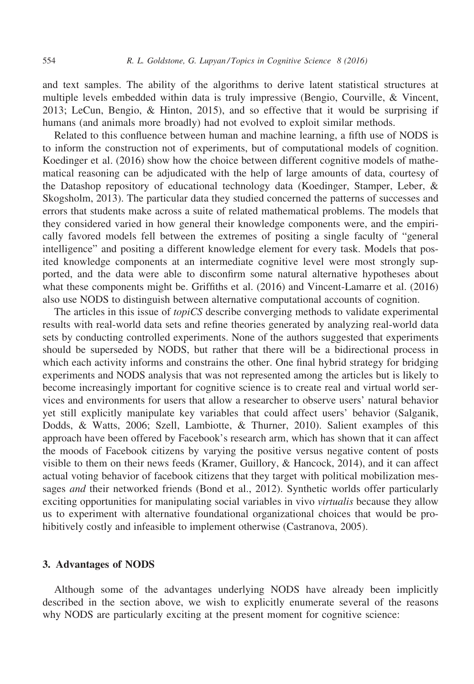and text samples. The ability of the algorithms to derive latent statistical structures at multiple levels embedded within data is truly impressive (Bengio, Courville, & Vincent, 2013; LeCun, Bengio, & Hinton, 2015), and so effective that it would be surprising if humans (and animals more broadly) had not evolved to exploit similar methods.

Related to this confluence between human and machine learning, a fifth use of NODS is to inform the construction not of experiments, but of computational models of cognition. Koedinger et al. (2016) show how the choice between different cognitive models of mathematical reasoning can be adjudicated with the help of large amounts of data, courtesy of the Datashop repository of educational technology data (Koedinger, Stamper, Leber, & Skogsholm, 2013). The particular data they studied concerned the patterns of successes and errors that students make across a suite of related mathematical problems. The models that they considered varied in how general their knowledge components were, and the empirically favored models fell between the extremes of positing a single faculty of "general intelligence" and positing a different knowledge element for every task. Models that posited knowledge components at an intermediate cognitive level were most strongly supported, and the data were able to disconfirm some natural alternative hypotheses about what these components might be. Griffiths et al. (2016) and Vincent-Lamarre et al. (2016) also use NODS to distinguish between alternative computational accounts of cognition.

The articles in this issue of *topiCS* describe converging methods to validate experimental results with real-world data sets and refine theories generated by analyzing real-world data sets by conducting controlled experiments. None of the authors suggested that experiments should be superseded by NODS, but rather that there will be a bidirectional process in which each activity informs and constrains the other. One final hybrid strategy for bridging experiments and NODS analysis that was not represented among the articles but is likely to become increasingly important for cognitive science is to create real and virtual world services and environments for users that allow a researcher to observe users' natural behavior yet still explicitly manipulate key variables that could affect users' behavior (Salganik, Dodds, & Watts, 2006; Szell, Lambiotte, & Thurner, 2010). Salient examples of this approach have been offered by Facebook's research arm, which has shown that it can affect the moods of Facebook citizens by varying the positive versus negative content of posts visible to them on their news feeds (Kramer, Guillory, & Hancock, 2014), and it can affect actual voting behavior of facebook citizens that they target with political mobilization messages *and* their networked friends (Bond et al., 2012). Synthetic worlds offer particularly exciting opportunities for manipulating social variables in vivo *virtualis* because they allow us to experiment with alternative foundational organizational choices that would be prohibitively costly and infeasible to implement otherwise (Castranova, 2005).

### 3. Advantages of NODS

Although some of the advantages underlying NODS have already been implicitly described in the section above, we wish to explicitly enumerate several of the reasons why NODS are particularly exciting at the present moment for cognitive science: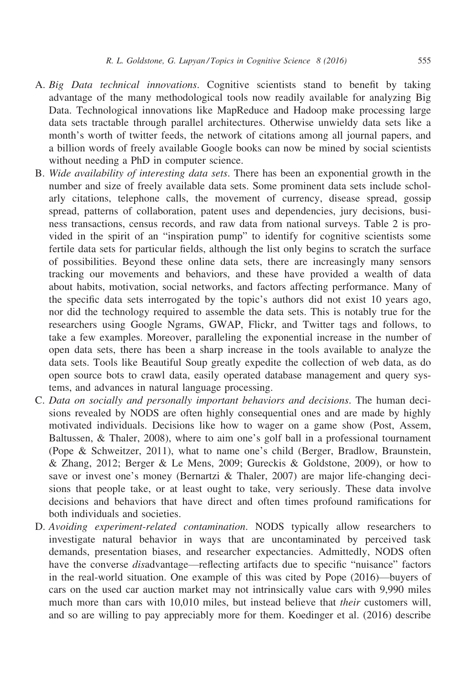- A. Big Data technical innovations. Cognitive scientists stand to benefit by taking advantage of the many methodological tools now readily available for analyzing Big Data. Technological innovations like MapReduce and Hadoop make processing large data sets tractable through parallel architectures. Otherwise unwieldy data sets like a month's worth of twitter feeds, the network of citations among all journal papers, and a billion words of freely available Google books can now be mined by social scientists without needing a PhD in computer science.
- B. Wide availability of interesting data sets. There has been an exponential growth in the number and size of freely available data sets. Some prominent data sets include scholarly citations, telephone calls, the movement of currency, disease spread, gossip spread, patterns of collaboration, patent uses and dependencies, jury decisions, business transactions, census records, and raw data from national surveys. Table 2 is provided in the spirit of an "inspiration pump" to identify for cognitive scientists some fertile data sets for particular fields, although the list only begins to scratch the surface of possibilities. Beyond these online data sets, there are increasingly many sensors tracking our movements and behaviors, and these have provided a wealth of data about habits, motivation, social networks, and factors affecting performance. Many of the specific data sets interrogated by the topic's authors did not exist 10 years ago, nor did the technology required to assemble the data sets. This is notably true for the researchers using Google Ngrams, GWAP, Flickr, and Twitter tags and follows, to take a few examples. Moreover, paralleling the exponential increase in the number of open data sets, there has been a sharp increase in the tools available to analyze the data sets. Tools like Beautiful Soup greatly expedite the collection of web data, as do open source bots to crawl data, easily operated database management and query systems, and advances in natural language processing.
- C. Data on socially and personally important behaviors and decisions. The human decisions revealed by NODS are often highly consequential ones and are made by highly motivated individuals. Decisions like how to wager on a game show (Post, Assem, Baltussen, & Thaler, 2008), where to aim one's golf ball in a professional tournament (Pope & Schweitzer, 2011), what to name one's child (Berger, Bradlow, Braunstein, & Zhang, 2012; Berger & Le Mens, 2009; Gureckis & Goldstone, 2009), or how to save or invest one's money (Bernartzi & Thaler, 2007) are major life-changing decisions that people take, or at least ought to take, very seriously. These data involve decisions and behaviors that have direct and often times profound ramifications for both individuals and societies.
- D. Avoiding experiment-related contamination. NODS typically allow researchers to investigate natural behavior in ways that are uncontaminated by perceived task demands, presentation biases, and researcher expectancies. Admittedly, NODS often have the converse *disadvantage*—reflecting artifacts due to specific "nuisance" factors in the real-world situation. One example of this was cited by Pope (2016)—buyers of cars on the used car auction market may not intrinsically value cars with 9,990 miles much more than cars with 10,010 miles, but instead believe that their customers will, and so are willing to pay appreciably more for them. Koedinger et al. (2016) describe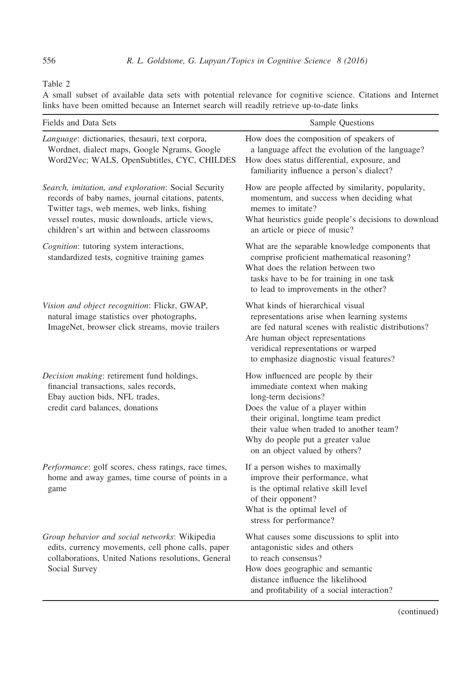Table 2

A small subset of available data sets with potential relevance for cognitive science. Citations and Internet links have been omitted because an Internet search will readily retrieve up-to-date links

| Fields and Data Sets                                                                                                                                                                                                                                       | Sample Questions                                                                                                                                                                                                                                                                             |
|------------------------------------------------------------------------------------------------------------------------------------------------------------------------------------------------------------------------------------------------------------|----------------------------------------------------------------------------------------------------------------------------------------------------------------------------------------------------------------------------------------------------------------------------------------------|
| Language: dictionaries, thesauri, text corpora,<br>Wordnet, dialect maps, Google Ngrams, Google<br>Word2Vec; WALS, OpenSubtitles, CYC, CHILDES                                                                                                             | How does the composition of speakers of<br>a language affect the evolution of the language?<br>How does status differential, exposure, and<br>familiarity influence a person's dialect?                                                                                                      |
| Search, imitation, and exploration: Social Security<br>records of baby names, journal citations, patents,<br>Twitter tags, web memes, web links, fishing<br>vessel routes, music downloads, article views,<br>children's art within and between classrooms | How are people affected by similarity, popularity,<br>momentum, and success when deciding what<br>memes to imitate?<br>What heuristics guide people's decisions to download<br>an article or piece of music?                                                                                 |
| Cognition: tutoring system interactions,<br>standardized tests, cognitive training games                                                                                                                                                                   | What are the separable knowledge components that<br>comprise proficient mathematical reasoning?<br>What does the relation between two<br>tasks have to be for training in one task<br>to lead to improvements in the other?                                                                  |
| Vision and object recognition: Flickr, GWAP,<br>natural image statistics over photographs,<br>ImageNet, browser click streams, movie trailers                                                                                                              | What kinds of hierarchical visual<br>representations arise when learning systems<br>are fed natural scenes with realistic distributions?<br>Are human object representations<br>veridical representations or warped<br>to emphasize diagnostic visual features?                              |
| Decision making: retirement fund holdings,<br>financial transactions, sales records,<br>Ebay auction bids, NFL trades,<br>credit card balances, donations                                                                                                  | How influenced are people by their<br>immediate context when making<br>long-term decisions?<br>Does the value of a player within<br>their original, longtime team predict<br>their value when traded to another team?<br>Why do people put a greater value<br>on an object valued by others? |
| Performance: golf scores, chess ratings, race times,<br>home and away games, time course of points in a<br>game                                                                                                                                            | If a person wishes to maximally<br>improve their performance, what<br>is the optimal relative skill level<br>of their opponent?<br>What is the optimal level of<br>stress for performance?                                                                                                   |
| Group behavior and social networks: Wikipedia<br>edits, currency movements, cell phone calls, paper<br>collaborations, United Nations resolutions, General<br>Social Survey                                                                                | What causes some discussions to split into<br>antagonistic sides and others<br>to reach consensus?<br>How does geographic and semantic<br>distance influence the likelihood<br>and profitability of a social interaction?                                                                    |

(continued)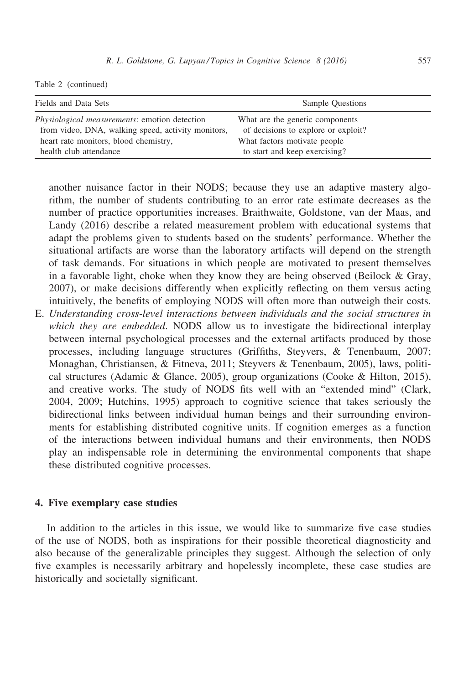Table 2 (continued)

| Fields and Data Sets                                 | Sample Questions                    |
|------------------------------------------------------|-------------------------------------|
| <i>Physiological measurements:</i> emotion detection | What are the genetic components     |
| from video, DNA, walking speed, activity monitors,   | of decisions to explore or exploit? |
| heart rate monitors, blood chemistry,                | What factors motivate people        |
| health club attendance                               | to start and keep exercising?       |

another nuisance factor in their NODS; because they use an adaptive mastery algorithm, the number of students contributing to an error rate estimate decreases as the number of practice opportunities increases. Braithwaite, Goldstone, van der Maas, and Landy (2016) describe a related measurement problem with educational systems that adapt the problems given to students based on the students' performance. Whether the situational artifacts are worse than the laboratory artifacts will depend on the strength of task demands. For situations in which people are motivated to present themselves in a favorable light, choke when they know they are being observed (Beilock  $& Gray$ , 2007), or make decisions differently when explicitly reflecting on them versus acting intuitively, the benefits of employing NODS will often more than outweigh their costs.

E. Understanding cross-level interactions between individuals and the social structures in which they are embedded. NODS allow us to investigate the bidirectional interplay between internal psychological processes and the external artifacts produced by those processes, including language structures (Griffiths, Steyvers, & Tenenbaum, 2007; Monaghan, Christiansen, & Fitneva, 2011; Steyvers & Tenenbaum, 2005), laws, political structures (Adamic & Glance, 2005), group organizations (Cooke & Hilton, 2015), and creative works. The study of NODS fits well with an "extended mind" (Clark, 2004, 2009; Hutchins, 1995) approach to cognitive science that takes seriously the bidirectional links between individual human beings and their surrounding environments for establishing distributed cognitive units. If cognition emerges as a function of the interactions between individual humans and their environments, then NODS play an indispensable role in determining the environmental components that shape these distributed cognitive processes.

## 4. Five exemplary case studies

In addition to the articles in this issue, we would like to summarize five case studies of the use of NODS, both as inspirations for their possible theoretical diagnosticity and also because of the generalizable principles they suggest. Although the selection of only five examples is necessarily arbitrary and hopelessly incomplete, these case studies are historically and societally significant.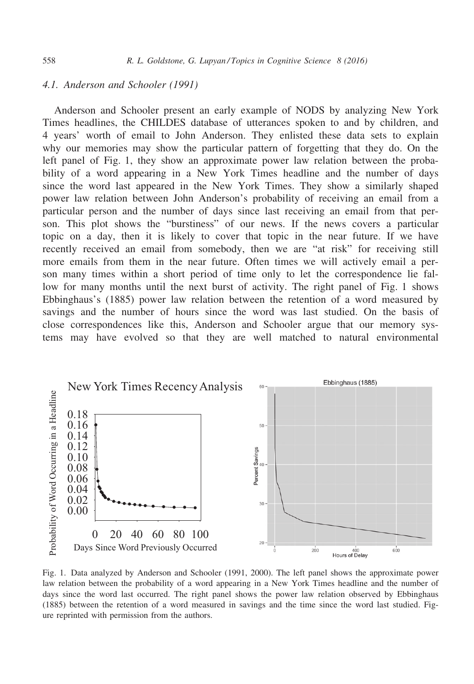## 4.1. Anderson and Schooler (1991)

Anderson and Schooler present an early example of NODS by analyzing New York Times headlines, the CHILDES database of utterances spoken to and by children, and 4 years' worth of email to John Anderson. They enlisted these data sets to explain why our memories may show the particular pattern of forgetting that they do. On the left panel of Fig. 1, they show an approximate power law relation between the probability of a word appearing in a New York Times headline and the number of days since the word last appeared in the New York Times. They show a similarly shaped power law relation between John Anderson's probability of receiving an email from a particular person and the number of days since last receiving an email from that person. This plot shows the "burstiness" of our news. If the news covers a particular topic on a day, then it is likely to cover that topic in the near future. If we have recently received an email from somebody, then we are "at risk" for receiving still more emails from them in the near future. Often times we will actively email a person many times within a short period of time only to let the correspondence lie fallow for many months until the next burst of activity. The right panel of Fig. 1 shows Ebbinghaus's (1885) power law relation between the retention of a word measured by savings and the number of hours since the word was last studied. On the basis of close correspondences like this, Anderson and Schooler argue that our memory systems may have evolved so that they are well matched to natural environmental



Fig. 1. Data analyzed by Anderson and Schooler (1991, 2000). The left panel shows the approximate power law relation between the probability of a word appearing in a New York Times headline and the number of days since the word last occurred. The right panel shows the power law relation observed by Ebbinghaus (1885) between the retention of a word measured in savings and the time since the word last studied. Figure reprinted with permission from the authors.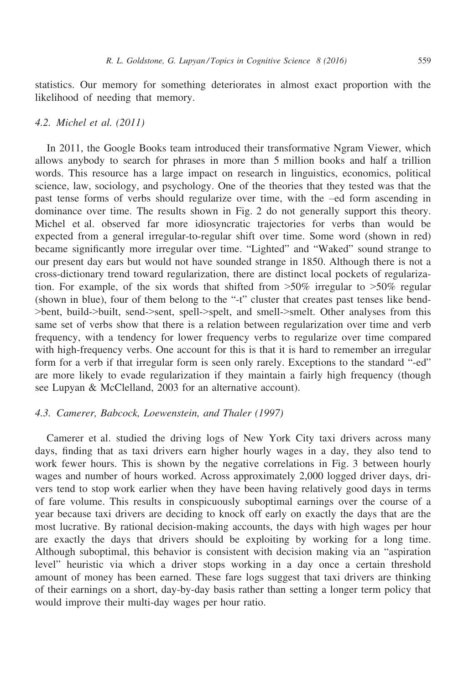statistics. Our memory for something deteriorates in almost exact proportion with the likelihood of needing that memory.

#### 4.2. Michel et al. (2011)

In 2011, the Google Books team introduced their transformative Ngram Viewer, which allows anybody to search for phrases in more than 5 million books and half a trillion words. This resource has a large impact on research in linguistics, economics, political science, law, sociology, and psychology. One of the theories that they tested was that the past tense forms of verbs should regularize over time, with the –ed form ascending in dominance over time. The results shown in Fig. 2 do not generally support this theory. Michel et al. observed far more idiosyncratic trajectories for verbs than would be expected from a general irregular-to-regular shift over time. Some word (shown in red) became significantly more irregular over time. "Lighted" and "Waked" sound strange to our present day ears but would not have sounded strange in 1850. Although there is not a cross-dictionary trend toward regularization, there are distinct local pockets of regularization. For example, of the six words that shifted from  $>50\%$  irregular to  $>50\%$  regular (shown in blue), four of them belong to the "-t" cluster that creates past tenses like bend- >bent, build->built, send->sent, spell->spelt, and smell->smelt. Other analyses from this same set of verbs show that there is a relation between regularization over time and verb frequency, with a tendency for lower frequency verbs to regularize over time compared with high-frequency verbs. One account for this is that it is hard to remember an irregular form for a verb if that irregular form is seen only rarely. Exceptions to the standard "-ed" are more likely to evade regularization if they maintain a fairly high frequency (though see Lupyan & McClelland, 2003 for an alternative account).

### 4.3. Camerer, Babcock, Loewenstein, and Thaler (1997)

Camerer et al. studied the driving logs of New York City taxi drivers across many days, finding that as taxi drivers earn higher hourly wages in a day, they also tend to work fewer hours. This is shown by the negative correlations in Fig. 3 between hourly wages and number of hours worked. Across approximately 2,000 logged driver days, drivers tend to stop work earlier when they have been having relatively good days in terms of fare volume. This results in conspicuously suboptimal earnings over the course of a year because taxi drivers are deciding to knock off early on exactly the days that are the most lucrative. By rational decision-making accounts, the days with high wages per hour are exactly the days that drivers should be exploiting by working for a long time. Although suboptimal, this behavior is consistent with decision making via an "aspiration level" heuristic via which a driver stops working in a day once a certain threshold amount of money has been earned. These fare logs suggest that taxi drivers are thinking of their earnings on a short, day-by-day basis rather than setting a longer term policy that would improve their multi-day wages per hour ratio.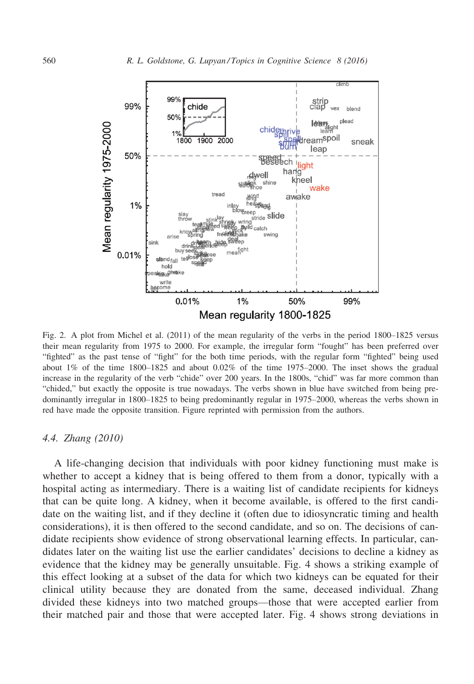

Fig. 2. A plot from Michel et al. (2011) of the mean regularity of the verbs in the period 1800–1825 versus their mean regularity from 1975 to 2000. For example, the irregular form "fought" has been preferred over "fighted" as the past tense of "fight" for the both time periods, with the regular form "fighted" being used about 1% of the time 1800–1825 and about 0.02% of the time 1975–2000. The inset shows the gradual increase in the regularity of the verb "chide" over 200 years. In the 1800s, "chid" was far more common than "chided," but exactly the opposite is true nowadays. The verbs shown in blue have switched from being predominantly irregular in 1800–1825 to being predominantly regular in 1975–2000, whereas the verbs shown in red have made the opposite transition. Figure reprinted with permission from the authors.

#### 4.4. Zhang (2010)

A life-changing decision that individuals with poor kidney functioning must make is whether to accept a kidney that is being offered to them from a donor, typically with a hospital acting as intermediary. There is a waiting list of candidate recipients for kidneys that can be quite long. A kidney, when it become available, is offered to the first candidate on the waiting list, and if they decline it (often due to idiosyncratic timing and health considerations), it is then offered to the second candidate, and so on. The decisions of candidate recipients show evidence of strong observational learning effects. In particular, candidates later on the waiting list use the earlier candidates' decisions to decline a kidney as evidence that the kidney may be generally unsuitable. Fig. 4 shows a striking example of this effect looking at a subset of the data for which two kidneys can be equated for their clinical utility because they are donated from the same, deceased individual. Zhang divided these kidneys into two matched groups—those that were accepted earlier from their matched pair and those that were accepted later. Fig. 4 shows strong deviations in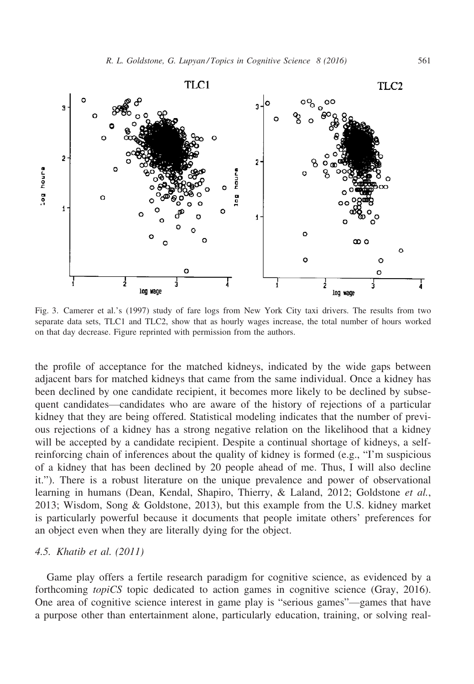

Fig. 3. Camerer et al.'s (1997) study of fare logs from New York City taxi drivers. The results from two separate data sets, TLC1 and TLC2, show that as hourly wages increase, the total number of hours worked on that day decrease. Figure reprinted with permission from the authors.

the profile of acceptance for the matched kidneys, indicated by the wide gaps between adjacent bars for matched kidneys that came from the same individual. Once a kidney has been declined by one candidate recipient, it becomes more likely to be declined by subsequent candidates—candidates who are aware of the history of rejections of a particular kidney that they are being offered. Statistical modeling indicates that the number of previous rejections of a kidney has a strong negative relation on the likelihood that a kidney will be accepted by a candidate recipient. Despite a continual shortage of kidneys, a selfreinforcing chain of inferences about the quality of kidney is formed (e.g., "I'm suspicious of a kidney that has been declined by 20 people ahead of me. Thus, I will also decline it."). There is a robust literature on the unique prevalence and power of observational learning in humans (Dean, Kendal, Shapiro, Thierry, & Laland, 2012; Goldstone et al., 2013; Wisdom, Song & Goldstone, 2013), but this example from the U.S. kidney market is particularly powerful because it documents that people imitate others' preferences for an object even when they are literally dying for the object.

## 4.5. Khatib et al. (2011)

Game play offers a fertile research paradigm for cognitive science, as evidenced by a forthcoming topiCS topic dedicated to action games in cognitive science (Gray, 2016). One area of cognitive science interest in game play is "serious games"—games that have a purpose other than entertainment alone, particularly education, training, or solving real-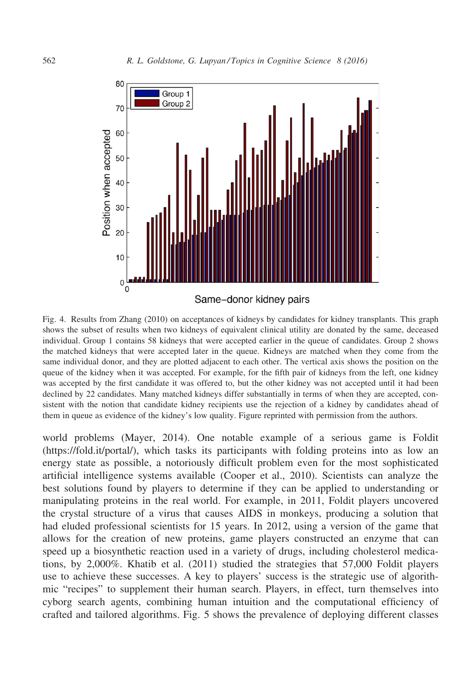

Fig. 4. Results from Zhang (2010) on acceptances of kidneys by candidates for kidney transplants. This graph shows the subset of results when two kidneys of equivalent clinical utility are donated by the same, deceased individual. Group 1 contains 58 kidneys that were accepted earlier in the queue of candidates. Group 2 shows the matched kidneys that were accepted later in the queue. Kidneys are matched when they come from the same individual donor, and they are plotted adjacent to each other. The vertical axis shows the position on the queue of the kidney when it was accepted. For example, for the fifth pair of kidneys from the left, one kidney was accepted by the first candidate it was offered to, but the other kidney was not accepted until it had been declined by 22 candidates. Many matched kidneys differ substantially in terms of when they are accepted, consistent with the notion that candidate kidney recipients use the rejection of a kidney by candidates ahead of them in queue as evidence of the kidney's low quality. Figure reprinted with permission from the authors.

world problems (Mayer, 2014). One notable example of a serious game is Foldit [\(https://fold.it/portal/](https://fold.it/portal/)), which tasks its participants with folding proteins into as low an energy state as possible, a notoriously difficult problem even for the most sophisticated artificial intelligence systems available (Cooper et al., 2010). Scientists can analyze the best solutions found by players to determine if they can be applied to understanding or manipulating proteins in the real world. For example, in 2011, Foldit players uncovered the crystal structure of a virus that causes AIDS in monkeys, producing a solution that had eluded professional scientists for 15 years. In 2012, using a version of the game that allows for the creation of new proteins, game players constructed an enzyme that can speed up a biosynthetic reaction used in a variety of drugs, including cholesterol medications, by 2,000%. Khatib et al. (2011) studied the strategies that 57,000 Foldit players use to achieve these successes. A key to players' success is the strategic use of algorithmic "recipes" to supplement their human search. Players, in effect, turn themselves into cyborg search agents, combining human intuition and the computational efficiency of crafted and tailored algorithms. Fig. 5 shows the prevalence of deploying different classes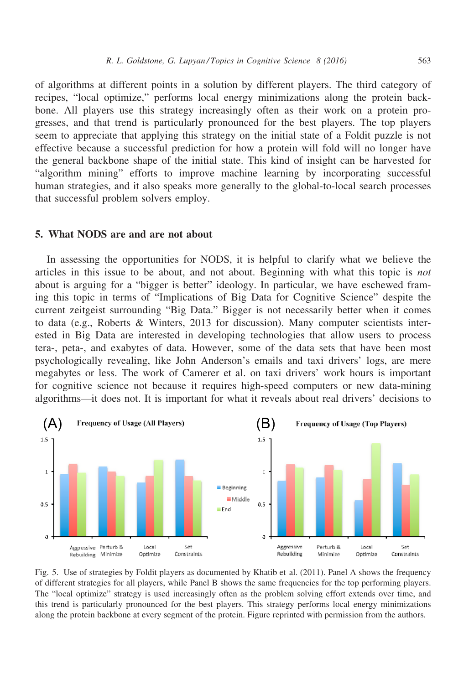of algorithms at different points in a solution by different players. The third category of recipes, "local optimize," performs local energy minimizations along the protein backbone. All players use this strategy increasingly often as their work on a protein progresses, and that trend is particularly pronounced for the best players. The top players seem to appreciate that applying this strategy on the initial state of a Foldit puzzle is not effective because a successful prediction for how a protein will fold will no longer have the general backbone shape of the initial state. This kind of insight can be harvested for "algorithm mining" efforts to improve machine learning by incorporating successful human strategies, and it also speaks more generally to the global-to-local search processes that successful problem solvers employ.

## 5. What NODS are and are not about

In assessing the opportunities for NODS, it is helpful to clarify what we believe the articles in this issue to be about, and not about. Beginning with what this topic is not about is arguing for a "bigger is better" ideology. In particular, we have eschewed framing this topic in terms of "Implications of Big Data for Cognitive Science" despite the current zeitgeist surrounding "Big Data." Bigger is not necessarily better when it comes to data (e.g., Roberts & Winters, 2013 for discussion). Many computer scientists interested in Big Data are interested in developing technologies that allow users to process tera-, peta-, and exabytes of data. However, some of the data sets that have been most psychologically revealing, like John Anderson's emails and taxi drivers' logs, are mere megabytes or less. The work of Camerer et al. on taxi drivers' work hours is important for cognitive science not because it requires high-speed computers or new data-mining algorithms—it does not. It is important for what it reveals about real drivers' decisions to



Fig. 5. Use of strategies by Foldit players as documented by Khatib et al. (2011). Panel A shows the frequency of different strategies for all players, while Panel B shows the same frequencies for the top performing players. The "local optimize" strategy is used increasingly often as the problem solving effort extends over time, and this trend is particularly pronounced for the best players. This strategy performs local energy minimizations along the protein backbone at every segment of the protein. Figure reprinted with permission from the authors.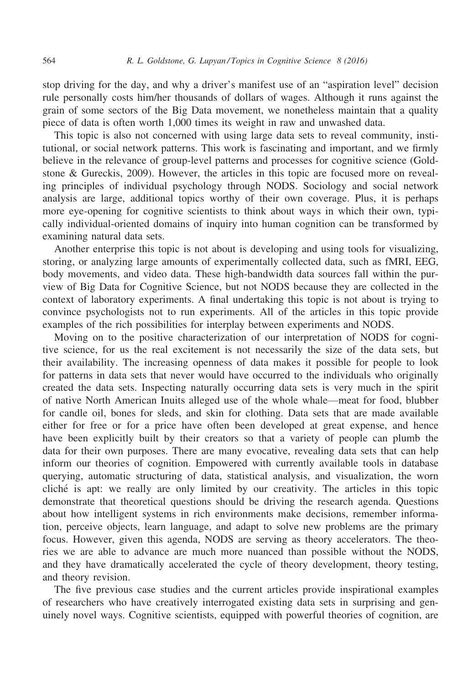stop driving for the day, and why a driver's manifest use of an "aspiration level" decision rule personally costs him/her thousands of dollars of wages. Although it runs against the grain of some sectors of the Big Data movement, we nonetheless maintain that a quality piece of data is often worth 1,000 times its weight in raw and unwashed data.

This topic is also not concerned with using large data sets to reveal community, institutional, or social network patterns. This work is fascinating and important, and we firmly believe in the relevance of group-level patterns and processes for cognitive science (Goldstone & Gureckis, 2009). However, the articles in this topic are focused more on revealing principles of individual psychology through NODS. Sociology and social network analysis are large, additional topics worthy of their own coverage. Plus, it is perhaps more eye-opening for cognitive scientists to think about ways in which their own, typically individual-oriented domains of inquiry into human cognition can be transformed by examining natural data sets.

Another enterprise this topic is not about is developing and using tools for visualizing, storing, or analyzing large amounts of experimentally collected data, such as fMRI, EEG, body movements, and video data. These high-bandwidth data sources fall within the purview of Big Data for Cognitive Science, but not NODS because they are collected in the context of laboratory experiments. A final undertaking this topic is not about is trying to convince psychologists not to run experiments. All of the articles in this topic provide examples of the rich possibilities for interplay between experiments and NODS.

Moving on to the positive characterization of our interpretation of NODS for cognitive science, for us the real excitement is not necessarily the size of the data sets, but their availability. The increasing openness of data makes it possible for people to look for patterns in data sets that never would have occurred to the individuals who originally created the data sets. Inspecting naturally occurring data sets is very much in the spirit of native North American Inuits alleged use of the whole whale—meat for food, blubber for candle oil, bones for sleds, and skin for clothing. Data sets that are made available either for free or for a price have often been developed at great expense, and hence have been explicitly built by their creators so that a variety of people can plumb the data for their own purposes. There are many evocative, revealing data sets that can help inform our theories of cognition. Empowered with currently available tools in database querying, automatic structuring of data, statistical analysis, and visualization, the worn cliche is apt: we really are only limited by our creativity. The articles in this topic demonstrate that theoretical questions should be driving the research agenda. Questions about how intelligent systems in rich environments make decisions, remember information, perceive objects, learn language, and adapt to solve new problems are the primary focus. However, given this agenda, NODS are serving as theory accelerators. The theories we are able to advance are much more nuanced than possible without the NODS, and they have dramatically accelerated the cycle of theory development, theory testing, and theory revision.

The five previous case studies and the current articles provide inspirational examples of researchers who have creatively interrogated existing data sets in surprising and genuinely novel ways. Cognitive scientists, equipped with powerful theories of cognition, are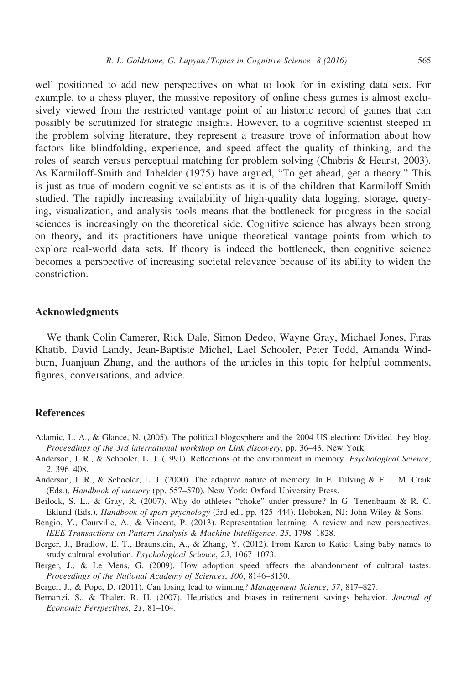well positioned to add new perspectives on what to look for in existing data sets. For example, to a chess player, the massive repository of online chess games is almost exclusively viewed from the restricted vantage point of an historic record of games that can possibly be scrutinized for strategic insights. However, to a cognitive scientist steeped in the problem solving literature, they represent a treasure trove of information about how factors like blindfolding, experience, and speed affect the quality of thinking, and the roles of search versus perceptual matching for problem solving (Chabris & Hearst, 2003). As Karmiloff-Smith and Inhelder (1975) have argued, "To get ahead, get a theory." This is just as true of modern cognitive scientists as it is of the children that Karmiloff-Smith studied. The rapidly increasing availability of high-quality data logging, storage, querying, visualization, and analysis tools means that the bottleneck for progress in the social sciences is increasingly on the theoretical side. Cognitive science has always been strong on theory, and its practitioners have unique theoretical vantage points from which to explore real-world data sets. If theory is indeed the bottleneck, then cognitive science becomes a perspective of increasing societal relevance because of its ability to widen the constriction.

#### Acknowledgments

We thank Colin Camerer, Rick Dale, Simon Dedeo, Wayne Gray, Michael Jones, Firas Khatib, David Landy, Jean-Baptiste Michel, Lael Schooler, Peter Todd, Amanda Windburn, Juanjuan Zhang, and the authors of the articles in this topic for helpful comments, figures, conversations, and advice.

### References

- Adamic, L. A., & Glance, N. (2005). The political blogosphere and the 2004 US election: Divided they blog. Proceedings of the 3rd international workshop on Link discovery, pp. 36–43. New York.
- Anderson, J. R., & Schooler, L. J. (1991). Reflections of the environment in memory. Psychological Science, 2, 396–408.
- Anderson, J. R., & Schooler, L. J. (2000). The adaptive nature of memory. In E. Tulving & F. I. M. Craik (Eds.), Handbook of memory (pp. 557–570). New York: Oxford University Press.
- Beilock, S. L., & Gray, R. (2007). Why do athletes "choke" under pressure? In G. Tenenbaum & R. C. Eklund (Eds.), Handbook of sport psychology (3rd ed., pp. 425–444). Hoboken, NJ: John Wiley & Sons.
- Bengio, Y., Courville, A., & Vincent, P. (2013). Representation learning: A review and new perspectives. IEEE Transactions on Pattern Analysis & Machine Intelligence, 25, 1798–1828.
- Berger, J., Bradlow, E. T., Braunstein, A., & Zhang, Y. (2012). From Karen to Katie: Using baby names to study cultural evolution. Psychological Science, 23, 1067–1073.
- Berger, J., & Le Mens, G. (2009). How adoption speed affects the abandonment of cultural tastes. Proceedings of the National Academy of Sciences, 106, 8146–8150.
- Berger, J., & Pope, D. (2011). Can losing lead to winning? Management Science, 57, 817–827.
- Bernartzi, S., & Thaler, R. H. (2007). Heuristics and biases in retirement savings behavior. Journal of Economic Perspectives, 21, 81–104.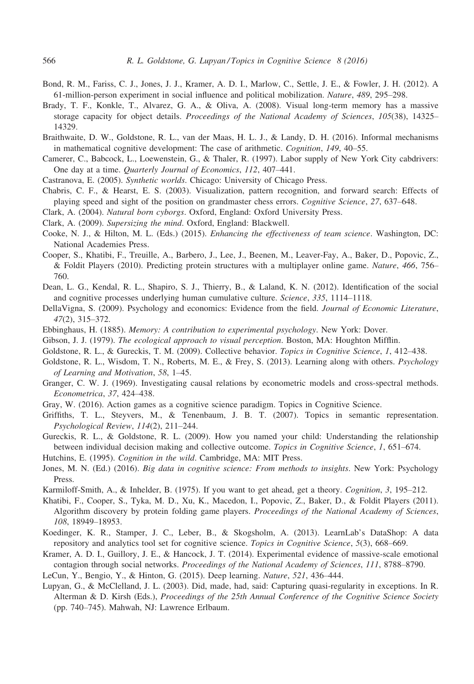- Bond, R. M., Fariss, C. J., Jones, J. J., Kramer, A. D. I., Marlow, C., Settle, J. E., & Fowler, J. H. (2012). A 61-million-person experiment in social influence and political mobilization. Nature, 489, 295–298.
- Brady, T. F., Konkle, T., Alvarez, G. A., & Oliva, A. (2008). Visual long-term memory has a massive storage capacity for object details. Proceedings of the National Academy of Sciences, 105(38), 14325– 14329.
- Braithwaite, D. W., Goldstone, R. L., van der Maas, H. L. J., & Landy, D. H. (2016). Informal mechanisms in mathematical cognitive development: The case of arithmetic. Cognition, 149, 40–55.
- Camerer, C., Babcock, L., Loewenstein, G., & Thaler, R. (1997). Labor supply of New York City cabdrivers: One day at a time. Quarterly Journal of Economics, 112, 407–441.
- Castranova, E. (2005). Synthetic worlds. Chicago: University of Chicago Press.
- Chabris, C. F., & Hearst, E. S. (2003). Visualization, pattern recognition, and forward search: Effects of playing speed and sight of the position on grandmaster chess errors. Cognitive Science, 27, 637–648.
- Clark, A. (2004). Natural born cyborgs. Oxford, England: Oxford University Press.
- Clark, A. (2009). Supersizing the mind. Oxford, England: Blackwell.
- Cooke, N. J., & Hilton, M. L. (Eds.) (2015). Enhancing the effectiveness of team science. Washington, DC: National Academies Press.
- Cooper, S., Khatibi, F., Treuille, A., Barbero, J., Lee, J., Beenen, M., Leaver-Fay, A., Baker, D., Popovic, Z., & Foldit Players (2010). Predicting protein structures with a multiplayer online game. Nature, 466, 756– 760.
- Dean, L. G., Kendal, R. L., Shapiro, S. J., Thierry, B., & Laland, K. N. (2012). Identification of the social and cognitive processes underlying human cumulative culture. Science, 335, 1114–1118.
- DellaVigna, S. (2009). Psychology and economics: Evidence from the field. Journal of Economic Literature, 47(2), 315–372.
- Ebbinghaus, H. (1885). Memory: A contribution to experimental psychology. New York: Dover.
- Gibson, J. J. (1979). The ecological approach to visual perception. Boston, MA: Houghton Mifflin.
- Goldstone, R. L., & Gureckis, T. M. (2009). Collective behavior. *Topics in Cognitive Science*, 1, 412–438.
- Goldstone, R. L., Wisdom, T. N., Roberts, M. E., & Frey, S. (2013). Learning along with others. *Psychology* of Learning and Motivation, 58, 1–45.
- Granger, C. W. J. (1969). Investigating causal relations by econometric models and cross-spectral methods. Econometrica, 37, 424–438.
- Gray, W. (2016). Action games as a cognitive science paradigm. Topics in Cognitive Science.
- Griffiths, T. L., Steyvers, M., & Tenenbaum, J. B. T. (2007). Topics in semantic representation. Psychological Review, 114(2), 211–244.
- Gureckis, R. L., & Goldstone, R. L. (2009). How you named your child: Understanding the relationship between individual decision making and collective outcome. Topics in Cognitive Science, 1, 651–674.
- Hutchins, E. (1995). Cognition in the wild. Cambridge, MA: MIT Press.
- Jones, M. N. (Ed.) (2016). Big data in cognitive science: From methods to insights. New York: Psychology Press.
- Karmiloff-Smith, A., & Inhelder, B. (1975). If you want to get ahead, get a theory. Cognition, 3, 195–212.
- Khatibi, F., Cooper, S., Tyka, M. D., Xu, K., Macedon, I., Popovic, Z., Baker, D., & Foldit Players (2011). Algorithm discovery by protein folding game players. Proceedings of the National Academy of Sciences, 108, 18949–18953.
- Koedinger, K. R., Stamper, J. C., Leber, B., & Skogsholm, A. (2013). LearnLab's DataShop: A data repository and analytics tool set for cognitive science. Topics in Cognitive Science, 5(3), 668–669.
- Kramer, A. D. I., Guillory, J. E., & Hancock, J. T. (2014). Experimental evidence of massive-scale emotional contagion through social networks. Proceedings of the National Academy of Sciences, 111, 8788–8790.
- LeCun, Y., Bengio, Y., & Hinton, G. (2015). Deep learning. Nature, 521, 436–444.
- Lupyan, G., & McClelland, J. L. (2003). Did, made, had, said: Capturing quasi-regularity in exceptions. In R. Alterman & D. Kirsh (Eds.), Proceedings of the 25th Annual Conference of the Cognitive Science Society (pp. 740–745). Mahwah, NJ: Lawrence Erlbaum.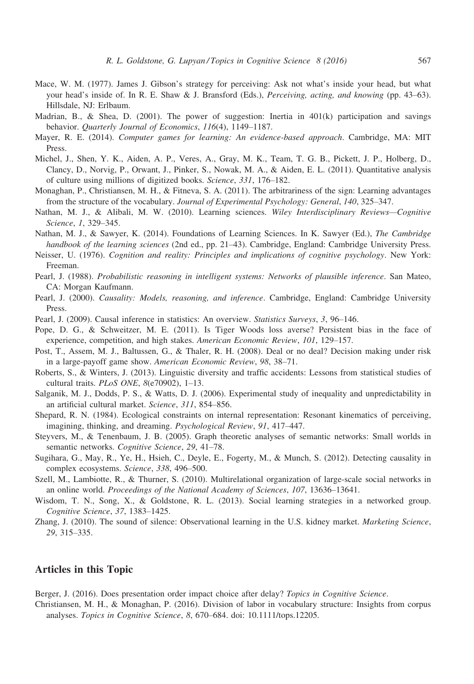- Mace, W. M. (1977). James J. Gibson's strategy for perceiving: Ask not what's inside your head, but what your head's inside of. In R. E. Shaw & J. Bransford (Eds.), *Perceiving, acting, and knowing* (pp. 43–63). Hillsdale, NJ: Erlbaum.
- Madrian, B., & Shea, D. (2001). The power of suggestion: Inertia in  $401(k)$  participation and savings behavior. Quarterly Journal of Economics, 116(4), 1149–1187.
- Mayer, R. E. (2014). Computer games for learning: An evidence-based approach. Cambridge, MA: MIT Press.
- Michel, J., Shen, Y. K., Aiden, A. P., Veres, A., Gray, M. K., Team, T. G. B., Pickett, J. P., Holberg, D., Clancy, D., Norvig, P., Orwant, J., Pinker, S., Nowak, M. A., & Aiden, E. L. (2011). Quantitative analysis of culture using millions of digitized books. Science, 331, 176–182.
- Monaghan, P., Christiansen, M. H., & Fitneva, S. A. (2011). The arbitrariness of the sign: Learning advantages from the structure of the vocabulary. Journal of Experimental Psychology: General, 140, 325–347.
- Nathan, M. J., & Alibali, M. W. (2010). Learning sciences. Wiley Interdisciplinary Reviews-Cognitive Science, 1, 329–345.
- Nathan, M. J., & Sawyer, K. (2014). Foundations of Learning Sciences. In K. Sawyer (Ed.), The Cambridge handbook of the learning sciences (2nd ed., pp. 21–43). Cambridge, England: Cambridge University Press.
- Neisser, U. (1976). Cognition and reality: Principles and implications of cognitive psychology. New York: Freeman.
- Pearl, J. (1988). Probabilistic reasoning in intelligent systems: Networks of plausible inference. San Mateo, CA: Morgan Kaufmann.
- Pearl, J. (2000). Causality: Models, reasoning, and inference. Cambridge, England: Cambridge University Press.
- Pearl, J. (2009). Causal inference in statistics: An overview. Statistics Surveys, 3, 96–146.
- Pope, D. G., & Schweitzer, M. E. (2011). Is Tiger Woods loss averse? Persistent bias in the face of experience, competition, and high stakes. American Economic Review, 101, 129–157.
- Post, T., Assem, M. J., Baltussen, G., & Thaler, R. H. (2008). Deal or no deal? Decision making under risk in a large-payoff game show. American Economic Review, 98, 38–71.
- Roberts, S., & Winters, J. (2013). Linguistic diversity and traffic accidents: Lessons from statistical studies of cultural traits.  $PLoS$  ONE,  $8(e70902)$ , 1-13.
- Salganik, M. J., Dodds, P. S., & Watts, D. J. (2006). Experimental study of inequality and unpredictability in an artificial cultural market. Science, 311, 854–856.
- Shepard, R. N. (1984). Ecological constraints on internal representation: Resonant kinematics of perceiving, imagining, thinking, and dreaming. Psychological Review, 91, 417–447.
- Steyvers, M., & Tenenbaum, J. B. (2005). Graph theoretic analyses of semantic networks: Small worlds in semantic networks. Cognitive Science, 29, 41–78.
- Sugihara, G., May, R., Ye, H., Hsieh, C., Deyle, E., Fogerty, M., & Munch, S. (2012). Detecting causality in complex ecosystems. Science, 338, 496–500.
- Szell, M., Lambiotte, R., & Thurner, S. (2010). Multirelational organization of large-scale social networks in an online world. Proceedings of the National Academy of Sciences, 107, 13636–13641.
- Wisdom, T. N., Song, X., & Goldstone, R. L. (2013). Social learning strategies in a networked group. Cognitive Science, 37, 1383–1425.

Zhang, J. (2010). The sound of silence: Observational learning in the U.S. kidney market. Marketing Science, 29, 315–335.

#### Articles in this Topic

Berger, J. (2016). Does presentation order impact choice after delay? Topics in Cognitive Science.

Christiansen, M. H., & Monaghan, P. (2016). Division of labor in vocabulary structure: Insights from corpus analyses. Topics in Cognitive Science, 8, 670–684. doi: [10.1111/tops.12205](http://dx.doi.org/10.1111/tops.12205).